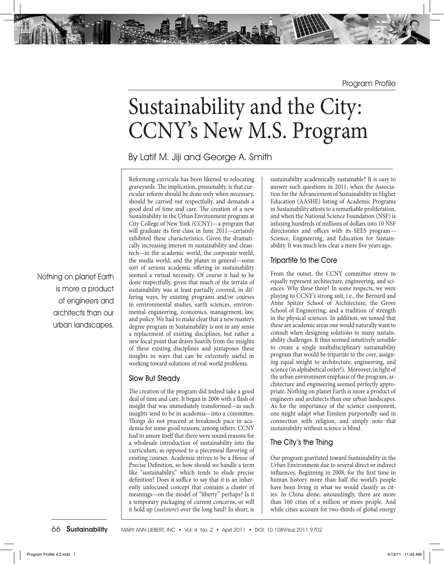Program Profile

# Sustainability and the City: CCNY's New M.S. Program

By Latif M. Jiji and George A. Smith

Nothing on planet Earth is more a product of engineers and architects than our urban landscapes.

Reforming curricula has been likened to relocating graveyards. The implication, presumably, is that curricular reform should be done only when necessary, should be carried out respectfully, and demands a good deal of time and care. The creation of a new Sustainability in the Urban Environment program at City College of New York (CCNY)—a program that will graduate its first class in June 2011—certainly exhibited these characteristics. Given the dramatically increasing interest in sustainability and cleantech—in the academic world, the corporate world, the media world, and the planet in general—some sort of serious academic offering in sustainability seemed a virtual necessity. Of course it had to be done respectfully, given that much of the terrain of sustainability was at least partially covered, in differing ways, by existing programs and/or courses in environmental studies, earth sciences, environmental engineering, economics, management, law, and policy. We had to make clear that a new master's degree program in Sustainability is not in any sense a replacement of existing disciplines, but rather a new focal point that draws heavily from the insights of these existing disciplines and juxtaposes these insights in ways that can be extremely useful in working toward solutions of real-world problems.

## Slow But Steady

The creation of the program did indeed take a good deal of time and care. It began in 2006 with a flash of insight that was immediately transformed—as such insights tend to be in academia—into a committee. Things do not proceed at breakneck pace in academia for some good reasons, among others. CCNY had to assure itself that there were sound reasons for a wholesale introduction of sustainability into the curriculum, as opposed to a piecemeal flavoring of existing courses. Academia strives to be a House of Precise Definition, so how should we handle a term like "sustainability," which tends to elude precise definition? Does it suffice to say that it is an inherently unfocused concept that contains a cluster of meanings—on the model of "liberty" perhaps? Is it a temporary packaging of current concerns, or will it hold up (*sustinere*) over the long haul? In short, is

sustainability academically sustainable? It is easy to answer such questions in 2011, when the Association for the Advancement of Sustainability in Higher Education (AASHE) listing of Academic Programs in Sustainability attests to a remarkable proliferation, and when the National Science Foundation (NSF) is infusing hundreds of millions of dollars into 10 NSF directorates and offices with its SEES program— Science, Engineering, and Education for Sustainability. It was much less clear a mere five years ago.

## Tripartite to the Core

From the outset, the CCNY committee strove to equally represent architecture, engineering, and sciences. Why these three? In some respects, we were playing to CCNY's strong suit, i.e., the Bernard and Anne Spitzer School of Architecture, the Grove School of Engineering, and a tradition of strength in the physical sciences. In addition, we sensed that these are academic areas one would naturally want to consult when designing solutions to many sustainability challenges. It thus seemed intuitively sensible to create a single multidisciplinary sustainability program that would be tripartite to the core, assigning equal weight to architecture, engineering, and science (in alphabetical order!). Moreover, in light of the urban environment emphasis of the program, architecture and engineering seemed perfectly appropriate. Nothing on planet Earth is more a product of engineers and architects than our urban landscapes. As for the importance of the science component, one might adapt what Einstein purportedly said in connection with religion, and simply note that sustainability without science is blind.

# The City's the Thing

Our program gravitated toward Sustainability in the *Urban* Environment due to several direct or indirect influences. Beginning in 2008, for the first time in human history more than half the world's people have been living in what we would classify as cities. In China alone, astoundingly, there are more than 160 cities of a million or more people. And while cities account for two-thirds of global energy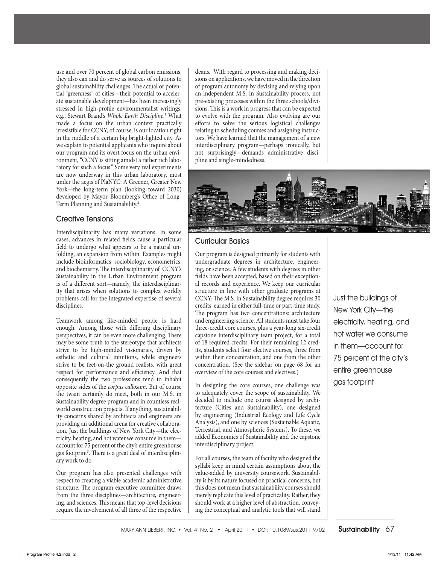use and over 70 percent of global carbon emissions, they also can and do serve as sources of solutions to global sustainability challenges. The actual or potential "greenness" of cities—their potential to accelerate sustainable development—has been increasingly stressed in high-profile environmentalist writings, e.g., Stewart Brand's *Whole Earth Discipline*. 1 What made a focus on the urban context practically irresistible for CCNY, of course, is our location right in the middle of a certain big bright-lighted city. As we explain to potential applicants who inquire about our program and its overt focus on the urban environment, "CCNY is sitting amidst a rather rich laboratory for such a focus." Some very real experiments are now underway in this urban laboratory, most under the aegis of PlaNYC: A Greener, Greater New York—the long-term plan (looking toward 2030) developed by Mayor Bloomberg's Office of Long-Term Planning and Sustainability.<sup>2</sup>

## Creative Tensions

Interdisciplinarity has many variations. In some cases, advances in related fields cause a particular field to undergo what appears to be a natural unfolding, an expansion from within. Examples might include bioinformatics, sociobiology, econometrics, and biochemistry. The interdisciplinarity of CCNY's Sustainability in the Urban Environment program is of a different sort—namely, the interdisciplinarity that arises when solutions to complex worldly problems call for the integrated expertise of several disciplines.

Teamwork among like-minded people is hard enough. Among those with differing disciplinary perspectives, it can be even more challenging. There may be some truth to the stereotype that architects strive to be high-minded visionaries, driven by esthetic and cultural intuitions, while engineers strive to be feet-on-the ground realists, with great respect for performance and efficiency. And that consequently the two professions tend to inhabit opposite sides of the *corpus callosum*. But of course the twain certainly do meet, both in our M.S. in Sustainability degree program and in countless realworld construction projects. If anything, sustainability concerns shared by architects and engineers are providing an additional arena for creative collaboration. Just the buildings of New York City—the electricity, heating, and hot water we consume in them account for 75 percent of the city's entire greenhouse gas footprint<sup>3</sup>. There is a great deal of interdisciplinary work to do.

Our program has also presented challenges with respect to creating a viable academic administrative structure. The program executive committee draws from the three disciplines—architecture, engineering, and sciences. This means that top-level decisions require the involvement of all three of the respective

deans. With regard to processing and making decisions on applications, we have moved in the direction of program autonomy by devising and relying upon an independent M.S. in Sustainability process, not pre-existing processes within the three schools/divisions. This is a work in progress that can be expected to evolve with the program. Also evolving are our efforts to solve the serious logistical challenges relating to scheduling courses and assigning instructors. We have learned that the management of a new interdisciplinary program—perhaps ironically, but not surprisingly—demands administrative discipline and single-mindedness.



## Curricular Basics

Our program is designed primarily for students with undergraduate degrees in architecture, engineering, or science. A few students with degrees in other fields have been accepted, based on their exceptional records and experience. We keep our curricular structure in line with other graduate programs at CCNY: The M.S. in Sustainability degree requires 30 credits, earned in either full-time or part-time study. The program has two concentrations: architecture and engineering-science. All students must take four three-credit core courses, plus a year-long six-credit capstone interdisciplinary team project, for a total of 18 required credits. For their remaining 12 credits, students select four elective courses, three from within their concentration, and one from the other concentration. (See the sidebar on page 68 for an overview of the core courses and electives.)

In designing the core courses, one challenge was to adequately cover the scope of sustainability. We decided to include one course designed by architecture (Cities and Sustainability), one designed by engineering (Industrial Ecology and Life Cycle Analysis), and one by sciences (Sustainable Aquatic, Terrestrial, and Atmospheric Systems). To these, we added Economics of Sustainability and the capstone interdisciplinary project.

For all courses, the team of faculty who designed the syllabi keep in mind certain assumptions about the value-added by university coursework. Sustainability is by its nature focused on practical concerns, but this does not mean that sustainability courses should merely replicate this level of practicality. Rather, they should work at a higher level of abstraction, conveying the conceptual and analytic tools that will stand Just the buildings of New York City—the electricity, heating, and hot water we consume in them—account for 75 percent of the city's entire greenhouse gas footprint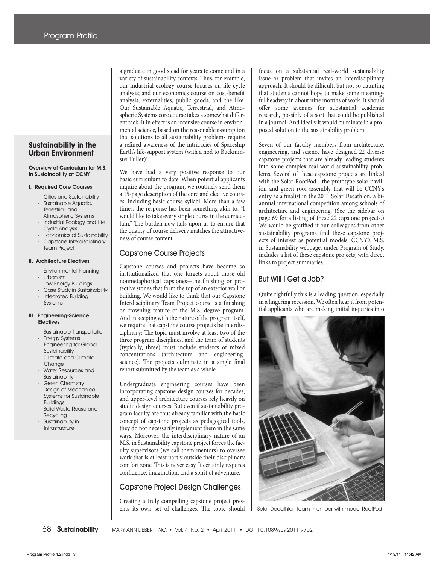## **Sustainability in the Urban Environment**

Overview of Curriculum for M.S. in Sustainability at CCNY

#### I. Required Core Courses

- Cities and Sustainability
- Sustainable Aquatic, Terrestrial, and Atmospheric Systems
- Industrial Ecology and Life Cycle Analysis
- Economics of Sustainability - Capstone Interdisciplinary
- Team Project

#### II. Architecture Electives

- Environmental Planning
- Urbanism
- Low-Energy Buildings
- Case Study in Sustainability - Integrated Building
- Systems

#### III. Engineering-Science **Electives**

- Sustainable Transportation
- Energy Systems Engineering for Global Sustainability - Climate and Climate
- Change
- Water Resources and **Sustainability**
- Green Chemistry
- Design of Mechanical Systems for Sustainable Buildings
- Solid Waste Reuse and Recycling
- Sustainability in Infrastructure

a graduate in good stead for years to come and in a variety of sustainability contexts. Thus, for example, our industrial ecology course focuses on life cycle analysis; and our economics course on cost-benefit analysis, externalities, public goods, and the like. Our Sustainable Aquatic, Terrestrial, and Atmospheric Systems core course takes a somewhat different tack. It in effect is an intensive course in environmental science, based on the reasonable assumption that solutions to all sustainability problems require a refined awareness of the intricacies of Spaceship Earth's life-support system (with a nod to Buckminster Fuller)4 .

We have had a very positive response to our basic curriculum to date. When potential applicants inquire about the program, we routinely send them a 15-page description of the core and elective courses, including basic course syllabi. More than a few times, the response has been something akin to, "I would like to take every single course in the curriculum." The burden now falls upon us to ensure that the quality of course delivery matches the attractiveness of course content.

## Capstone Course Projects

Capstone courses and projects have become so institutionalized that one forgets about those old nonmetaphorical capstones—the finishing or protective stones that form the top of an exterior wall or building. We would like to think that our Capstone Interdisciplinary Team Project course is a finishing or crowning feature of the M.S. degree program. And in keeping with the nature of the program itself, we require that capstone course projects be interdisciplinary: The topic must involve at least two of the three program disciplines, and the team of students (typically, three) must include students of mixed concentrations (architecture and engineeringscience). The projects culminate in a single final report submitted by the team as a whole.

Undergraduate engineering courses have been incorporating capstone design courses for decades, and upper-level architecture courses rely heavily on studio design courses. But even if sustainability program faculty are thus already familiar with the basic concept of capstone projects as pedagogical tools, they do not necessarily implement them in the same ways. Moreover, the interdisciplinary nature of an M.S. in Sustainability capstone project forces the faculty supervisors (we call them mentors) to oversee work that is at least partly outside their disciplinary comfort zone. This is never easy. It certainly requires confidence, imagination, and a spirit of adventure.

# Capstone Project Design Challenges

Creating a truly compelling capstone project presents its own set of challenges. The topic should

focus on a substantial real-world sustainability issue or problem that invites an interdisciplinary approach. It should be difficult, but not so daunting that students cannot hope to make some meaningful headway in about nine months of work. It should offer some avenues for substantial academic research, possibly of a sort that could be published in a journal. And ideally it would culminate in a proposed solution to the sustainability problem.

Seven of our faculty members from architecture, engineering, and science have designed 22 diverse capstone projects that are already leading students into some complex real-world sustainability problems. Several of these capstone projects are linked with the Solar RoofPod—the prototype solar pavilion and green roof assembly that will be CCNY's entry as a finalist in the 2011 Solar Decathlon, a biannual international competition among schools of architecture and engineering. (See the sidebar on page 69 for a listing of these 22 capstone projects.) We would be gratified if our colleagues from other sustainability programs find these capstone projects of interest as potential models. CCNY's M.S. in Sustainability webpage, under Program of Study, includes a list of these capstone projects, with direct links to project summaries.

# But Will I Get a Job?

Quite rightfully this is a leading question, especially in a lingering recession. We often hear it from potential applicants who are making initial inquiries into



Solar Decathlon team member with model RoofPod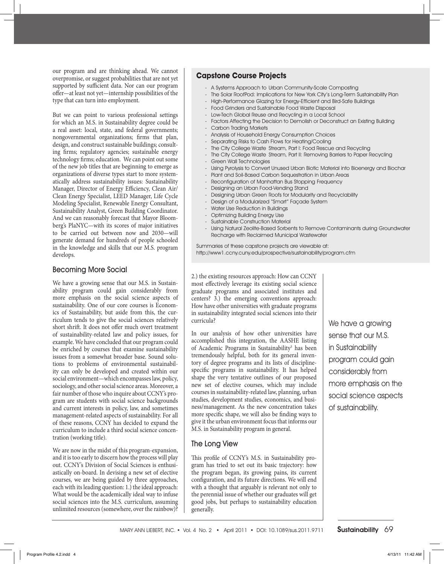our program and are thinking ahead. We cannot overpromise, or suggest probabilities that are not yet supported by sufficient data. Nor can our program offer—at least not yet—internship possibilities of the type that can turn into employment.

But we can point to various professional settings for which an M.S. in Sustainability degree could be a real asset: local, state, and federal governments; nongovernmental organizations; firms that plan, design, and construct sustainable buildings; consulting firms; regulatory agencies; sustainable energy technology firms; education. We can point out some of the new job titles that are beginning to emerge as organizations of diverse types start to more systematically address sustainability issues: Sustainability Manager, Director of Energy Efficiency, Clean Air/ Clean Energy Specialist, LEED Manager, Life Cycle Modeling Specialist, Renewable Energy Consultant, Sustainability Analyst, Green Building Coordinator. And we can reasonably forecast that Mayor Bloomberg's PlaNYC—with its scores of major initiatives to be carried out between now and 2030—will generate demand for hundreds of people schooled in the knowledge and skills that our M.S. program develops.

## Becoming More Social

We have a growing sense that our M.S. in Sustainability program could gain considerably from more emphasis on the social science aspects of sustainability. One of our core courses is Economics of Sustainability, but aside from this, the curriculum tends to give the social sciences relatively short shrift. It does not offer much overt treatment of sustainability-related law and policy issues, for example. We have concluded that our program could be enriched by courses that examine sustainability issues from a somewhat broader base. Sound solutions to problems of environmental sustainability can only be developed and created within our social environment—which encompasses law, policy, sociology, and other social science areas. Moreover, a fair number of those who inquire about CCNY's program are students with social science backgrounds and current interests in policy, law, and sometimes management-related aspects of sustainability. For all of these reasons, CCNY has decided to expand the curriculum to include a third social science concentration (working title).

We are now in the midst of this program-expansion, and it is too early to discern how the process will play out. CCNY's Division of Social Sciences is enthusiastically on-board. In devising a new set of elective courses, we are being guided by three approaches, each with its leading question: 1.) the ideal approach: What would be the academically ideal way to infuse social sciences into the M.S. curriculum, assuming unlimited resources (somewhere, over the rainbow)?

# **Capstone Course Projects**

- A Systems Approach to Urban Community-Scale Composting
- The Solar RoofPod: Implications for New York City's Long-Term Sustainability Plan
- High-Performance Glazing for Energy-Efficient and Bird-Safe Buildings
- Food Grinders and Sustainable Food Waste Disposal
- Low-Tech Global Reuse and Recycling in a Local School
- Factors Affecting the Decision to Demolish or Deconstruct an Existing Building
- Carbon Trading Markets
- Analysis of Household Energy Consumption Choices
- Separating Risks to Cash Flows for Heating/Cooling
- The City College Waste Stream, Part I: Food Rescue and Recycling
- The City College Waste Stream, Part II: Removing Barriers to Paper Recycling
- Green Wall Technologies
- Using Pyrolysis to Convert Unused Urban Biotic Material into Bioenergy and Biochar
- Plant and Soil-Based Carbon Sequestration in Urban Areas
- Reconfiguration of Manhattan Bus Stopping Frequency
- Designing an Urban Food-Vending Stand
- Designing Urban Green Roofs for Modularity and Recyclability
- Design of a Modularized "Smart" Façade System
- Water Use Reduction in Buildings
- Optimizing Building Energy Use
- Sustainable Construction Material
- Using Natural Zeolite-Based Sorbents to Remove Contaminants during Groundwater Recharge with Reclaimed Municipal Wastewater

Summaries of these capstone projects are viewable at: http://www1.ccny.cuny.edu/prospective/sustainability/program.cfm

2.) the existing resources approach: How can CCNY most effectively leverage its existing social science graduate programs and associated institutes and centers? 3.) the emerging conventions approach: How have other universities with graduate programs in sustainability integrated social sciences into their curricula?

In our analysis of how other universities have accomplished this integration, the AASHE listing of Academic Programs in Sustainability<sup>5</sup> has been tremendously helpful, both for its general inventory of degree programs and its lists of disciplinespecific programs in sustainability. It has helped shape the very tentative outlines of our proposed new set of elective courses, which may include courses in sustainability-related law, planning, urban studies, development studies, economics, and business/management. As the new concentration takes more specific shape, we will also be finding ways to give it the urban environment focus that informs our M.S. in Sustainability program in general.

# The Long View

This profile of CCNY's M.S. in Sustainability program has tried to set out its basic trajectory: how the program began, its growing pains, its current configuration, and its future directions. We will end with a thought that arguably is relevant not only to the perennial issue of whether our graduates will get good jobs, but perhaps to sustainability education generally.

We have a growing sense that our M.S. in Sustainability program could gain considerably from more emphasis on the social science aspects of sustainability.